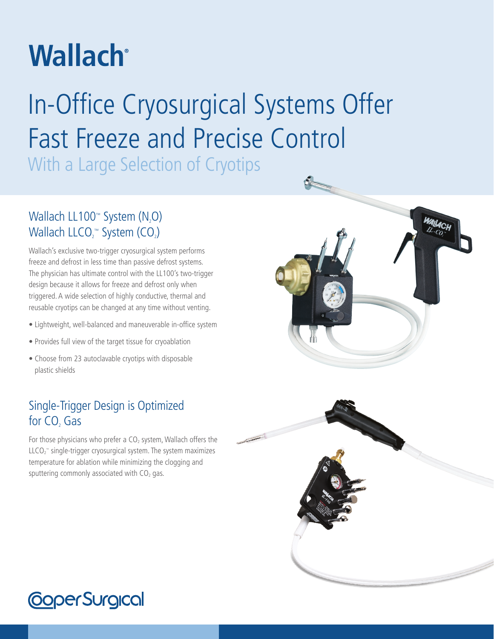# **Wallach**<sup>®</sup>

# In-Office Cryosurgical Systems Offer Fast Freeze and Precise Control

With a Large Selection of Cryotips

## Wallach LL100<sup>™</sup> System (N<sub>2</sub>O) Wallach LLCO<sub>2</sub><sup>m</sup> System (CO<sub>2</sub>)

Wallach's exclusive two-trigger cryosurgical system performs freeze and defrost in less time than passive defrost systems. The physician has ultimate control with the LL100's two-trigger design because it allows for freeze and defrost only when triggered. A wide selection of highly conductive, thermal and reusable cryotips can be changed at any time without venting.

- Lightweight, well-balanced and maneuverable in-office system
- Provides full view of the target tissue for cryoablation
- Choose from 23 autoclavable cryotips with disposable plastic shields

## Single-Trigger Design is Optimized for CO<sub>2</sub> Gas

For those physicians who prefer a  $CO<sub>2</sub>$  system, Wallach offers the  $L<sub>LO<sub>2</sub></sub>$  single-trigger cryosurgical system. The system maximizes temperature for ablation while minimizing the clogging and sputtering commonly associated with  $CO<sub>2</sub>$  gas.





## **CoperSurgical**